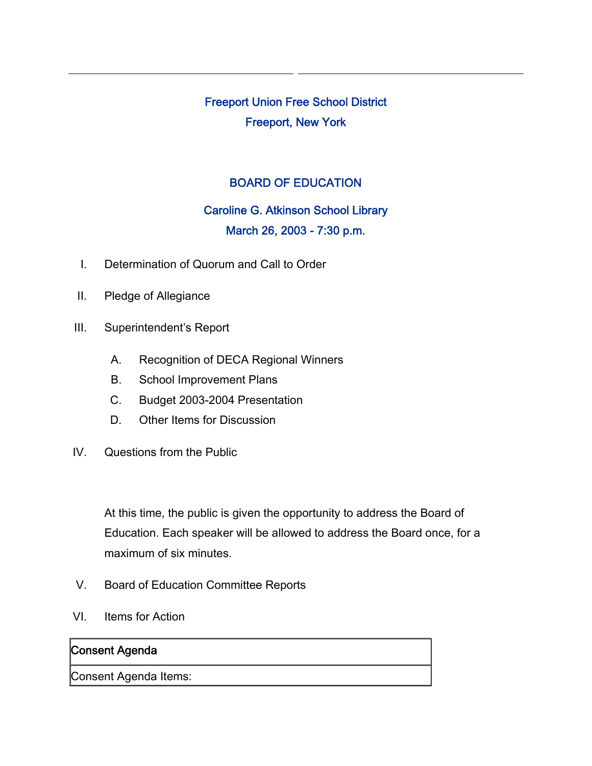Freeport Union Free School District Freeport, New York

### BOARD OF EDUCATION

# Caroline G. Atkinson School Library March 26, 2003 - 7:30 p.m.

- I. Determination of Quorum and Call to Order
- II. Pledge of Allegiance
- III. Superintendent's Report
	- A. Recognition of DECA Regional Winners
	- B. School Improvement Plans
	- C. Budget 2003-2004 Presentation
	- D. Other Items for Discussion
- IV. Questions from the Public

At this time, the public is given the opportunity to address the Board of Education. Each speaker will be allowed to address the Board once, for a maximum of six minutes.

- V. Board of Education Committee Reports
- VI. Items for Action

#### Consent Agenda

Consent Agenda Items: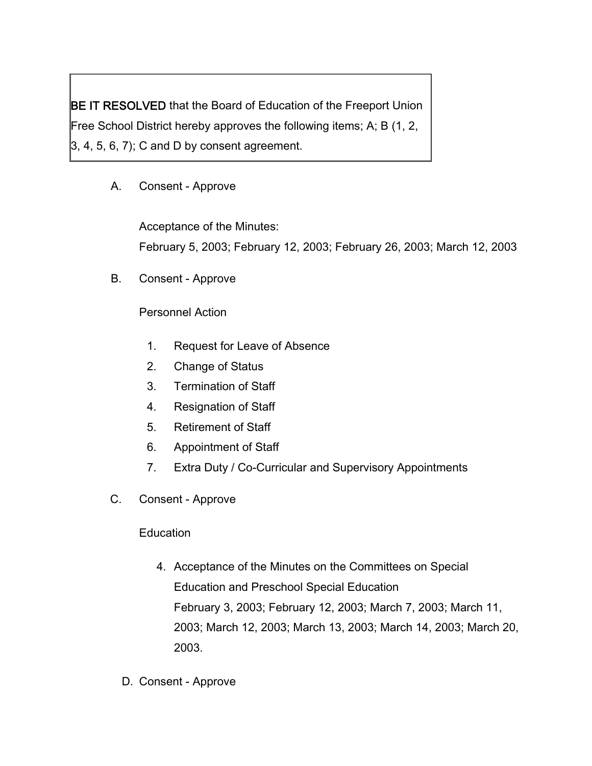BE IT RESOLVED that the Board of Education of the Freeport Union Free School District hereby approves the following items; A; B (1, 2,  $(3, 4, 5, 6, 7)$ ; C and D by consent agreement.

# A. Consent - Approve

Acceptance of the Minutes: February 5, 2003; February 12, 2003; February 26, 2003; March 12, 2003

B. Consent - Approve

### Personnel Action

- 1. Request for Leave of Absence
- 2. Change of Status
- 3. Termination of Staff
- 4. Resignation of Staff
- 5. Retirement of Staff
- 6. Appointment of Staff
- 7. Extra Duty / Co-Curricular and Supervisory Appointments
- C. Consent Approve

## **Education**

- 4. Acceptance of the Minutes on the Committees on Special Education and Preschool Special Education February 3, 2003; February 12, 2003; March 7, 2003; March 11, 2003; March 12, 2003; March 13, 2003; March 14, 2003; March 20, 2003.
- D. Consent Approve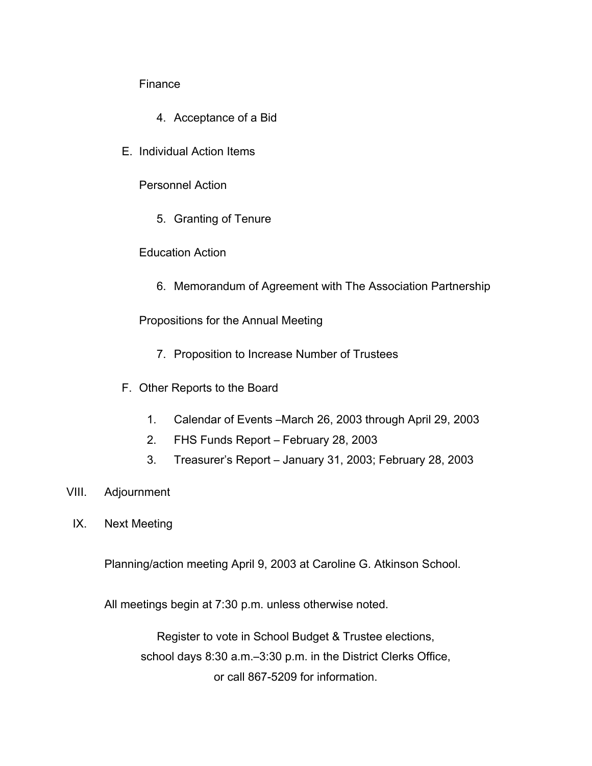#### Finance

- 4. Acceptance of a Bid
- E. Individual Action Items

Personnel Action

5. Granting of Tenure

#### Education Action

6. Memorandum of Agreement with The Association Partnership

Propositions for the Annual Meeting

- 7. Proposition to Increase Number of Trustees
- F. Other Reports to the Board
	- 1. Calendar of Events –March 26, 2003 through April 29, 2003
	- 2. FHS Funds Report February 28, 2003
	- 3. Treasurer's Report January 31, 2003; February 28, 2003
- VIII. Adjournment
	- IX. Next Meeting

Planning/action meeting April 9, 2003 at Caroline G. Atkinson School.

All meetings begin at 7:30 p.m. unless otherwise noted.

Register to vote in School Budget & Trustee elections, school days 8:30 a.m.–3:30 p.m. in the District Clerks Office, or call 867-5209 for information.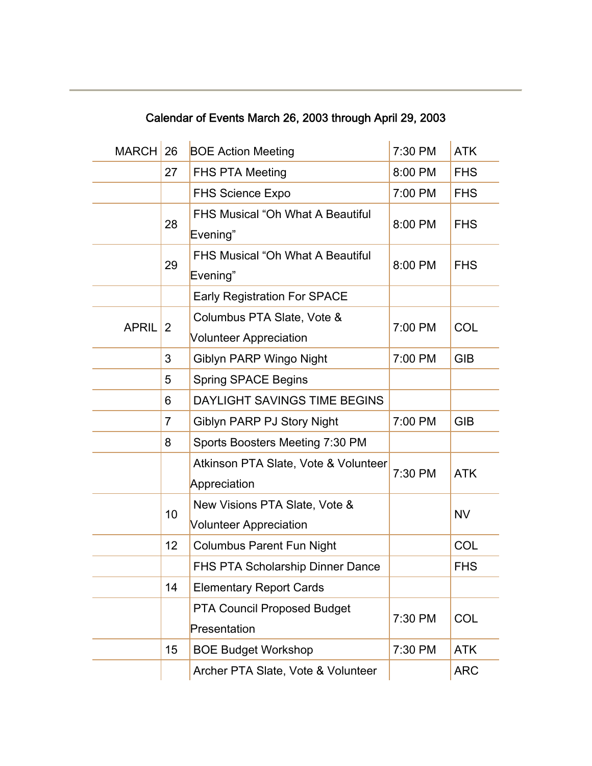| <b>MARCH</b> | 26             | <b>BOE Action Meeting</b>               | 7:30 PM   | <b>ATK</b> |
|--------------|----------------|-----------------------------------------|-----------|------------|
|              | 27             | <b>FHS PTA Meeting</b>                  | 8:00 PM   | <b>FHS</b> |
|              |                | <b>FHS Science Expo</b>                 | 7:00 PM   | <b>FHS</b> |
|              | 28             | <b>FHS Musical "Oh What A Beautiful</b> | 8:00 PM   | <b>FHS</b> |
|              |                | Evening"                                |           |            |
|              | 29             | <b>FHS Musical "Oh What A Beautiful</b> | 8:00 PM   | <b>FHS</b> |
|              |                | Evening"                                |           |            |
|              |                | <b>Early Registration For SPACE</b>     |           |            |
| <b>APRIL</b> | 2              | Columbus PTA Slate, Vote &              | 7:00 PM   | <b>COL</b> |
|              |                | <b>Volunteer Appreciation</b>           |           |            |
|              | 3              | Giblyn PARP Wingo Night                 | 7:00 PM   | <b>GIB</b> |
|              | 5              | <b>Spring SPACE Begins</b>              |           |            |
|              | 6              | DAYLIGHT SAVINGS TIME BEGINS            |           |            |
|              | $\overline{7}$ | Giblyn PARP PJ Story Night              | 7:00 PM   | <b>GIB</b> |
|              | 8              | Sports Boosters Meeting 7:30 PM         |           |            |
|              |                | Atkinson PTA Slate, Vote & Volunteer    |           |            |
|              |                | Appreciation                            | 7:30 PM   | <b>ATK</b> |
|              |                | New Visions PTA Slate, Vote &           |           |            |
|              | 10             | <b>Volunteer Appreciation</b>           | <b>NV</b> |            |
|              | 12             | <b>Columbus Parent Fun Night</b>        |           | COL        |
|              |                | FHS PTA Scholarship Dinner Dance        |           | <b>FHS</b> |
|              | 14             | <b>Elementary Report Cards</b>          |           |            |
|              |                | <b>PTA Council Proposed Budget</b>      |           |            |
|              |                | Presentation                            | 7:30 PM   | COL        |
|              | 15             | <b>BOE Budget Workshop</b>              | 7:30 PM   | <b>ATK</b> |
|              |                | Archer PTA Slate, Vote & Volunteer      |           | <b>ARC</b> |

Calendar of Events March 26, 2003 through April 29, 2003